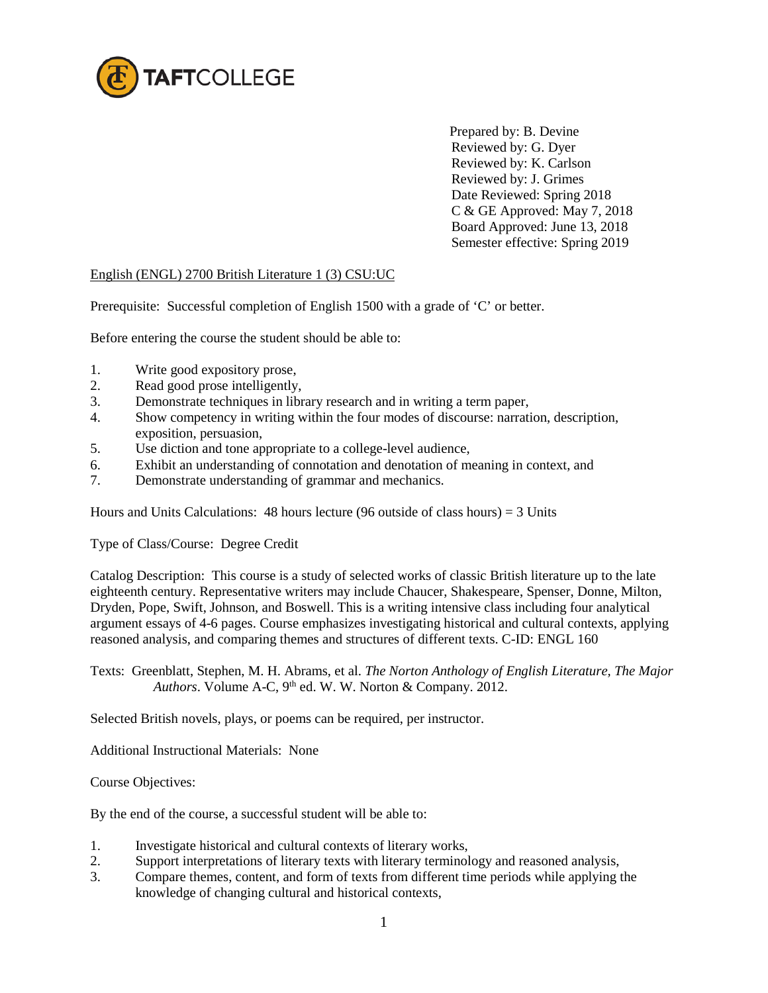

Prepared by: B. Devine Reviewed by: G. Dyer Reviewed by: K. Carlson Reviewed by: J. Grimes Date Reviewed: Spring 2018 C & GE Approved: May 7, 2018 Board Approved: June 13, 2018 Semester effective: Spring 2019

## English (ENGL) 2700 British Literature 1 (3) CSU:UC

Prerequisite: Successful completion of English 1500 with a grade of 'C' or better.

Before entering the course the student should be able to:

- 1. Write good expository prose,
- 2. Read good prose intelligently,
- 3. Demonstrate techniques in library research and in writing a term paper,
- 4. Show competency in writing within the four modes of discourse: narration, description, exposition, persuasion,
- 5. Use diction and tone appropriate to a college-level audience,
- 6. Exhibit an understanding of connotation and denotation of meaning in context, and
- 7. Demonstrate understanding of grammar and mechanics.

Hours and Units Calculations: 48 hours lecture (96 outside of class hours) = 3 Units

Type of Class/Course: Degree Credit

Catalog Description: This course is a study of selected works of classic British literature up to the late eighteenth century. Representative writers may include Chaucer, Shakespeare, Spenser, Donne, Milton, Dryden, Pope, Swift, Johnson, and Boswell. This is a writing intensive class including four analytical argument essays of 4-6 pages. Course emphasizes investigating historical and cultural contexts, applying reasoned analysis, and comparing themes and structures of different texts. C-ID: ENGL 160

Texts: Greenblatt, Stephen, M. H. Abrams, et al. *The Norton Anthology of English Literature, The Major Authors*. Volume A-C, 9<sup>th</sup> ed. W. W. Norton & Company. 2012.

Selected British novels, plays, or poems can be required, per instructor.

Additional Instructional Materials: None

Course Objectives:

By the end of the course, a successful student will be able to:

- 1. Investigate historical and cultural contexts of literary works,
- 2. Support interpretations of literary texts with literary terminology and reasoned analysis,
- 3. Compare themes, content, and form of texts from different time periods while applying the knowledge of changing cultural and historical contexts,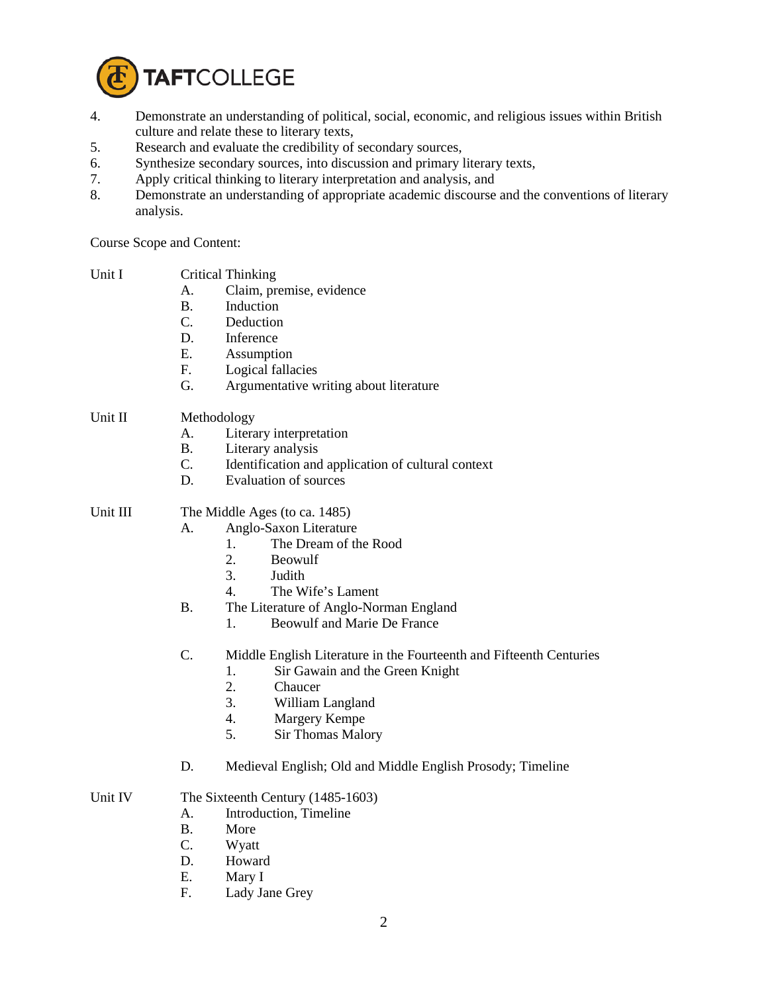

- 4. Demonstrate an understanding of political, social, economic, and religious issues within British culture and relate these to literary texts,
- 5. Research and evaluate the credibility of secondary sources,
- 6. Synthesize secondary sources, into discussion and primary literary texts,<br>7. Apply critical thinking to literary interpretation and analysis, and
- Apply critical thinking to literary interpretation and analysis, and
- 8. Demonstrate an understanding of appropriate academic discourse and the conventions of literary analysis.

Course Scope and Content:

| Unit I   | А.<br>В.<br>C.<br>D.<br>Ε.<br>F.<br>G.   | <b>Critical Thinking</b><br>Claim, premise, evidence<br>Induction<br>Deduction<br>Inference<br>Assumption<br>Logical fallacies<br>Argumentative writing about literature                                                                      |
|----------|------------------------------------------|-----------------------------------------------------------------------------------------------------------------------------------------------------------------------------------------------------------------------------------------------|
| Unit II  | Methodology<br>А.<br>В.<br>C.<br>D.      | Literary interpretation<br>Literary analysis<br>Identification and application of cultural context<br><b>Evaluation of sources</b>                                                                                                            |
| Unit III | А.<br><b>B.</b>                          | The Middle Ages (to ca. 1485)<br>Anglo-Saxon Literature<br>The Dream of the Rood<br>1.<br>2.<br>Beowulf<br>3.<br>Judith<br>4.<br>The Wife's Lament<br>The Literature of Anglo-Norman England<br>Beowulf and Marie De France<br>$\mathbf{1}$ . |
|          | C.                                       | Middle English Literature in the Fourteenth and Fifteenth Centuries<br>1.<br>Sir Gawain and the Green Knight<br>2.<br>Chaucer<br>3.<br>William Langland<br>4.<br>Margery Kempe<br>5.<br><b>Sir Thomas Malory</b>                              |
|          | D.                                       | Medieval English; Old and Middle English Prosody; Timeline                                                                                                                                                                                    |
| Unit IV  | A.<br>$\bf{B}$ .<br>C.<br>D.<br>Ε.<br>F. | The Sixteenth Century (1485-1603)<br>Introduction, Timeline<br>More<br>Wyatt<br>Howard<br>Mary I<br>Lady Jane Grey                                                                                                                            |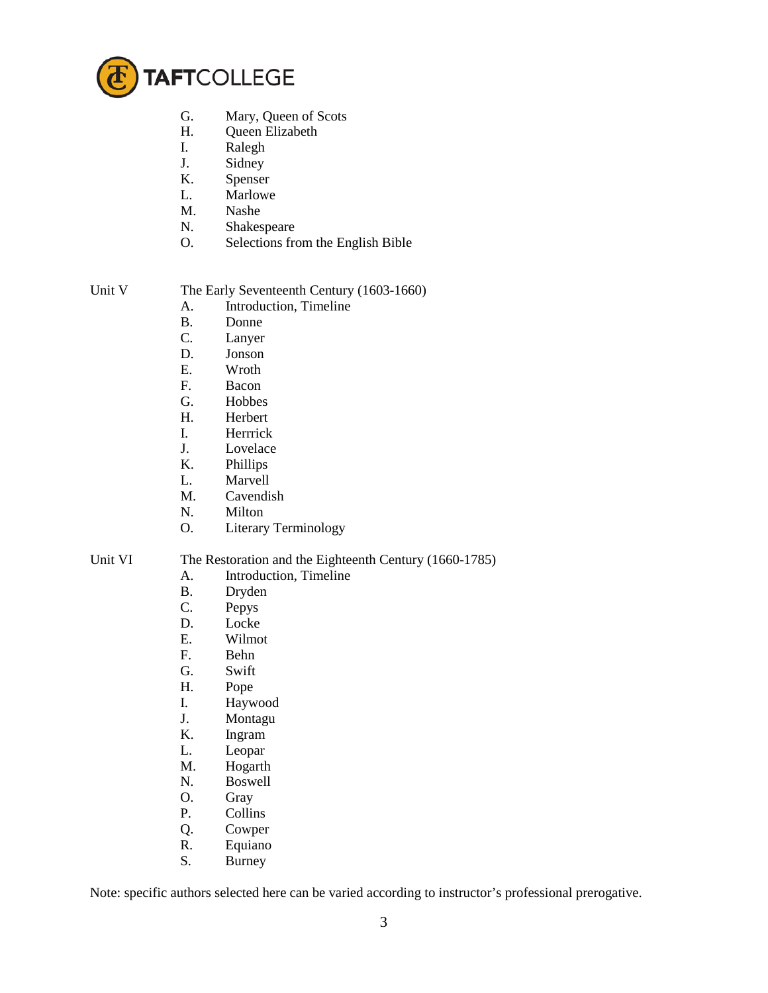

- G. Mary, Queen of Scots<br>H. Queen Elizabeth
- Queen Elizabeth
- I. Ralegh
- J. Sidney
- K. Spenser
- L. Marlowe
- M. Nashe
- N. Shakespeare
- O. Selections from the English Bible

Unit V The Early Seventeenth Century (1603-1660)

- A. Introduction, Timeline
- B. Donne
- C. Lanyer
- D. Jonson
- E. Wroth
- F. Bacon
- G. Hobbes
- H. Herbert
- I. Herrrick
- J. Lovelace
- K. Phillips
- L. Marvell
- M. Cavendish
- N. Milton
- O. Literary Terminology

## Unit VI The Restoration and the Eighteenth Century (1660-1785)

- A. Introduction, Timeline
- B. Dryden<br>C. Pepys
- Pepys
- D. Locke
- E. Wilmot
- F. Behn
- G. Swift
- H. Pope
- I. Haywood
- J. Montagu
- K. Ingram
- L. Leopar
- M. Hogarth
- N. Boswell
- O. Gray
- P. Collins
- Q. Cowper
- R. Equiano
- S. Burney

Note: specific authors selected here can be varied according to instructor's professional prerogative.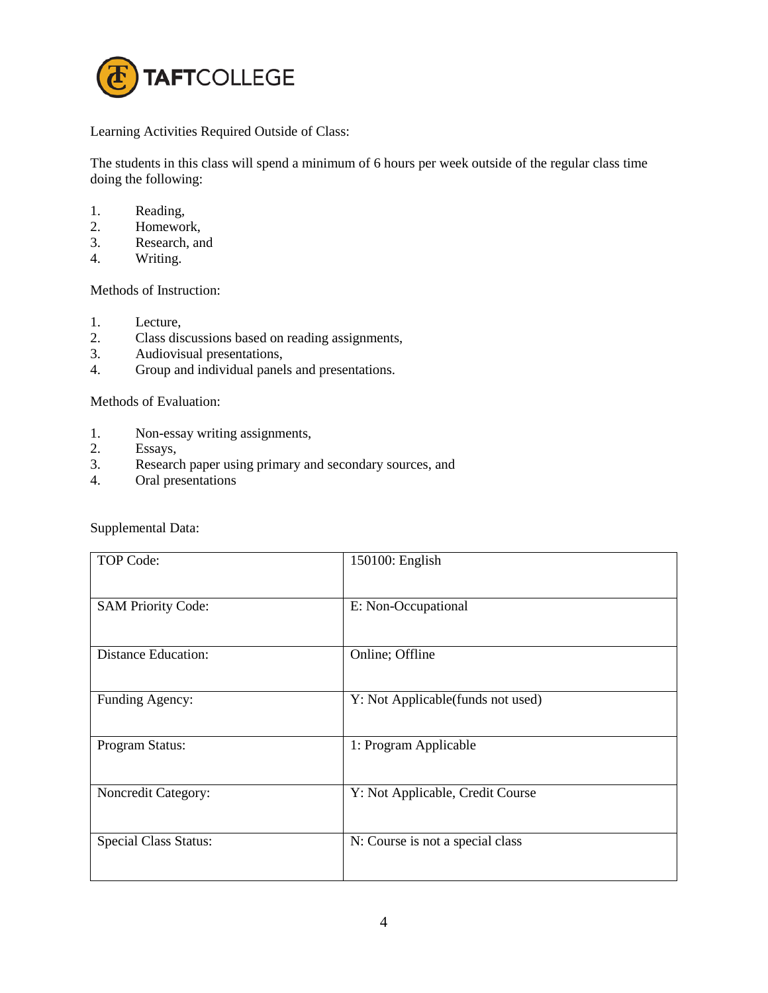

Learning Activities Required Outside of Class:

The students in this class will spend a minimum of 6 hours per week outside of the regular class time doing the following:

- 1. Reading,
- 2. Homework,
- 3. Research, and
- 4. Writing.

Methods of Instruction:

- 1. Lecture,
- 2. Class discussions based on reading assignments,
- 3. Audiovisual presentations,
- 4. Group and individual panels and presentations.

Methods of Evaluation:

- 1. Non-essay writing assignments,
- 2. Essays,
- 3. Research paper using primary and secondary sources, and
- 4. Oral presentations

Supplemental Data:

| TOP Code:                    | 150100: English                   |
|------------------------------|-----------------------------------|
| <b>SAM Priority Code:</b>    | E: Non-Occupational               |
| <b>Distance Education:</b>   | Online; Offline                   |
| Funding Agency:              | Y: Not Applicable(funds not used) |
| Program Status:              | 1: Program Applicable             |
| Noncredit Category:          | Y: Not Applicable, Credit Course  |
| <b>Special Class Status:</b> | N: Course is not a special class  |